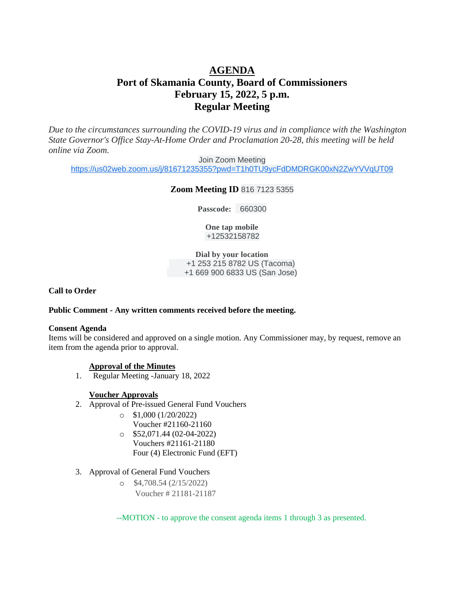# **AGENDA Port of Skamania County, Board of Commissioners February 15, 2022, 5 p.m. Regular Meeting**

*Due to the circumstances surrounding the COVID-19 virus and in compliance with the Washington State Governor's Office Stay-At-Home Order and Proclamation 20-28, this meeting will be held online via Zoom.*

Join Zoom Meeting

[https://us02web.zoom.us/j/81671235355?pwd=T1h0TU9ycFdDMDRGK00xN2ZwYVVqUT09](https://www.google.com/url?q=https://us02web.zoom.us/j/81671235355?pwd%3DT1h0TU9ycFdDMDRGK00xN2ZwYVVqUT09&sa=D&source=calendar&ust=1645034914572706&usg=AOvVaw0SdoQ7y1KoArtsBIIjTOxG)

### **Zoom Meeting ID** 816 7123 5355

**Passcode:** 660300

**One tap mobile** +12532158782

**Dial by your location** +1 253 215 8782 US (Tacoma) +1 669 900 6833 US (San Jose)

**Call to Order** 

#### **Public Comment - Any written comments received before the meeting.**

#### **Consent Agenda**

Items will be considered and approved on a single motion. Any Commissioner may, by request, remove an item from the agenda prior to approval.

### **Approval of the Minutes**

1. Regular Meeting -January 18, 2022

### **Voucher Approvals**

- 2. Approval of Pre-issued General Fund Vouchers
	- $\circ$  \$1,000 (1/20/2022) Voucher #21160-21160
	- $\degree$  \$52,071.44 (02-04-2022) Vouchers #21161-21180 Four (4) Electronic Fund (EFT)
- 3. Approval of General Fund Vouchers
	- o \$4,708.54 (2/15/2022) Voucher # 21181-21187

--MOTION - to approve the consent agenda items 1 through 3 as presented.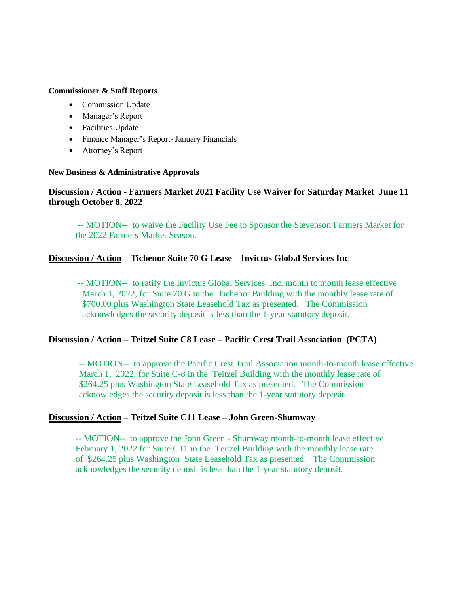## **Commissioner & Staff Reports**

- Commission Update
- Manager's Report
- Facilities Update
- Finance Manager's Report- January Financials
- Attorney's Report

# **New Business & Administrative Approvals**

# **Discussion / Action** - **Farmers Market 2021 Facility Use Waiver for Saturday Market June 11 through October 8, 2022**

-- MOTION-- to waive the Facility Use Fee to Sponsor the Stevenson Farmers Market for the 2022 Farmers Market Season.

# **Discussion / Action – Tichenor Suite 70 G Lease – Invictus Global Services Inc**

 -- MOTION-- to ratify the Invictus Global Services Inc. month to month lease effective March 1, 2022, for Suite 70 G in the Tichenor Building with the monthly lease rate of \$700.00 plus Washington State Leasehold Tax as presented. The Commission acknowledges the security deposit is less than the 1-year statutory deposit.

# **Discussion / Action – Teitzel Suite C8 Lease – Pacific Crest Trail Association (PCTA)**

-- MOTION-- to approve the Pacific Crest Trail Association month-to-month lease effective March 1, 2022, for Suite C-8 in the Teitzel Building with the monthly lease rate of \$264.25 plus Washington State Leasehold Tax as presented. The Commission acknowledges the security deposit is less than the 1-year statutory deposit.

# **Discussion / Action – Teitzel Suite C11 Lease – John Green-Shumway**

-- MOTION-- to approve the John Green - Shumway month-to-month lease effective February 1, 2022 for Suite C11 in the Teitzel Building with the monthly lease rate of \$264.25 plus Washington State Leasehold Tax as presented. The Commission acknowledges the security deposit is less than the 1-year statutory deposit.